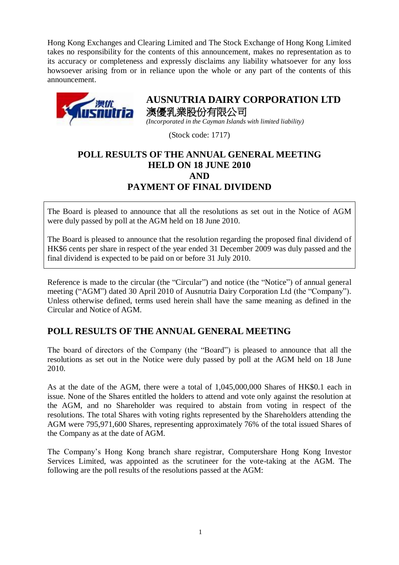Hong Kong Exchanges and Clearing Limited and The Stock Exchange of Hong Kong Limited takes no responsibility for the contents of this announcement, makes no representation as to its accuracy or completeness and expressly disclaims any liability whatsoever for any loss howsoever arising from or in reliance upon the whole or any part of the contents of this announcement.



# **AUSNUTRIA DAIRY CORPORATION LTD** 澳優乳業股份有限公司

*(Incorporated in the Cayman Islands with limited liability)*

(Stock code: 1717)

## **POLL RESULTS OF THE ANNUAL GENERAL MEETING HELD ON 18 JUNE 2010 AND PAYMENT OF FINAL DIVIDEND**

The Board is pleased to announce that all the resolutions as set out in the Notice of AGM were duly passed by poll at the AGM held on 18 June 2010.

The Board is pleased to announce that the resolution regarding the proposed final dividend of HK\$6 cents per share in respect of the year ended 31 December 2009 was duly passed and the final dividend is expected to be paid on or before 31 July 2010.

Reference is made to the circular (the "Circular") and notice (the "Notice") of annual general meeting ("AGM") dated 30 April 2010 of Ausnutria Dairy Corporation Ltd (the "Company"). Unless otherwise defined, terms used herein shall have the same meaning as defined in the Circular and Notice of AGM.

## **POLL RESULTS OF THE ANNUAL GENERAL MEETING**

The board of directors of the Company (the "Board") is pleased to announce that all the resolutions as set out in the Notice were duly passed by poll at the AGM held on 18 June 2010.

As at the date of the AGM, there were a total of 1,045,000,000 Shares of HK\$0.1 each in issue. None of the Shares entitled the holders to attend and vote only against the resolution at the AGM, and no Shareholder was required to abstain from voting in respect of the resolutions. The total Shares with voting rights represented by the Shareholders attending the AGM were 795,971,600 Shares, representing approximately 76% of the total issued Shares of the Company as at the date of AGM.

The Company's Hong Kong branch share registrar, Computershare Hong Kong Investor Services Limited, was appointed as the scrutineer for the vote-taking at the AGM. The following are the poll results of the resolutions passed at the AGM: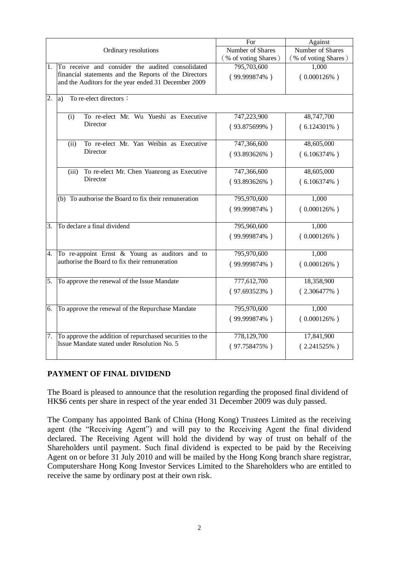|                      |                                                                                                         | For                  | Against              |
|----------------------|---------------------------------------------------------------------------------------------------------|----------------------|----------------------|
| Ordinary resolutions |                                                                                                         | Number of Shares     | Number of Shares     |
|                      |                                                                                                         | (% of voting Shares) | (% of voting Shares) |
| 1.                   | To receive and consider the audited consolidated                                                        | 795,703,600          | 1,000                |
|                      | financial statements and the Reports of the Directors                                                   | $(99.999874\%)$      | $(0.000126\%)$       |
|                      | and the Auditors for the year ended 31 December 2009                                                    |                      |                      |
| 2.                   | To re-elect directors:<br>a)                                                                            |                      |                      |
|                      |                                                                                                         |                      |                      |
|                      | To re-elect Mr. Wu Yueshi as Executive<br>(i)                                                           | 747,223,900          | 48,747,700           |
|                      | Director                                                                                                | $(93.875699\%)$      | $(6.124301\%)$       |
|                      | To re-elect Mr. Yan Weibin as Executive                                                                 |                      |                      |
|                      | (ii)<br>Director                                                                                        | 747,366,600          | 48,605,000           |
|                      |                                                                                                         | $(93.893626\%)$      | $(6.106374\%)$       |
|                      | To re-elect Mr. Chen Yuanrong as Executive<br>(iii)                                                     | 747,366,600          | 48,605,000           |
|                      | Director                                                                                                | $(93.893626\%)$      | $(6.106374\%)$       |
|                      |                                                                                                         |                      |                      |
|                      | (b) To authorise the Board to fix their remuneration                                                    | 795,970,600          | 1,000                |
|                      |                                                                                                         | $(99.999874\%)$      | $(0.000126\%)$       |
|                      | To declare a final dividend                                                                             |                      |                      |
| 3.                   |                                                                                                         | 795,960,600          | 1,000                |
|                      |                                                                                                         | $(99.999874\%)$      | $(0.000126\%)$       |
| $\overline{4}$ .     | To re-appoint Ernst & Young as auditors and to                                                          | 795,970,600          | 1,000                |
|                      | authorise the Board to fix their remuneration                                                           | $(99.999874\%)$      | $(0.000126\%)$       |
|                      |                                                                                                         |                      |                      |
| 5.                   | To approve the renewal of the Issue Mandate                                                             | 777,612,700          | 18,358,900           |
|                      |                                                                                                         | $(97.693523\%)$      | $(2.306477\%)$       |
|                      |                                                                                                         |                      |                      |
| 6.                   | To approve the renewal of the Repurchase Mandate                                                        | 795,970,600          | 1,000                |
|                      |                                                                                                         | $(99.999874\%)$      | $(0.000126\%)$       |
|                      |                                                                                                         |                      |                      |
| 7.                   | To approve the addition of repurchased securities to the<br>Issue Mandate stated under Resolution No. 5 | 778,129,700          | 17,841,900           |
|                      |                                                                                                         | $(97.758475\%)$      | $(2.241525\%)$       |
|                      |                                                                                                         |                      |                      |

#### **PAYMENT OF FINAL DIVIDEND**

The Board is pleased to announce that the resolution regarding the proposed final dividend of HK\$6 cents per share in respect of the year ended 31 December 2009 was duly passed.

The Company has appointed Bank of China (Hong Kong) Trustees Limited as the receiving agent (the "Receiving Agent") and will pay to the Receiving Agent the final dividend declared. The Receiving Agent will hold the dividend by way of trust on behalf of the Shareholders until payment. Such final dividend is expected to be paid by the Receiving Agent on or before 31 July 2010 and will be mailed by the Hong Kong branch share registrar, Computershare Hong Kong Investor Services Limited to the Shareholders who are entitled to receive the same by ordinary post at their own risk.